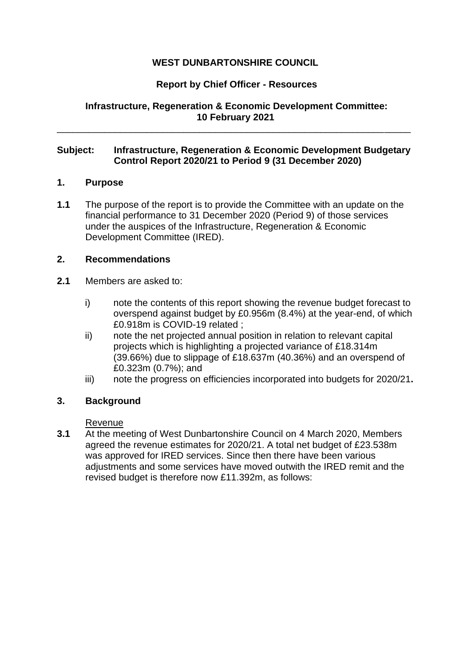# **WEST DUNBARTONSHIRE COUNCIL**

# **Report by Chief Officer - Resources**

**Infrastructure, Regeneration & Economic Development Committee: 10 February 2021**

\_\_\_\_\_\_\_\_\_\_\_\_\_\_\_\_\_\_\_\_\_\_\_\_\_\_\_\_\_\_\_\_\_\_\_\_\_\_\_\_\_\_\_\_\_\_\_\_\_\_\_\_\_\_\_\_\_\_\_\_\_\_\_\_\_\_\_

### **Subject: Infrastructure, Regeneration & Economic Development Budgetary Control Report 2020/21 to Period 9 (31 December 2020)**

### **1. Purpose**

**1.1** The purpose of the report is to provide the Committee with an update on the financial performance to 31 December 2020 (Period 9) of those services under the auspices of the Infrastructure, Regeneration & Economic Development Committee (IRED).

### **2. Recommendations**

- **2.1** Members are asked to:
	- i) note the contents of this report showing the revenue budget forecast to overspend against budget by £0.956m (8.4%) at the year-end, of which £0.918m is COVID-19 related ;
	- ii) note the net projected annual position in relation to relevant capital projects which is highlighting a projected variance of £18.314m (39.66%) due to slippage of £18.637m (40.36%) and an overspend of £0.323m (0.7%); and
	- iii) note the progress on efficiencies incorporated into budgets for 2020/21**.**

# **3. Background**

#### Revenue

**3.1** At the meeting of West Dunbartonshire Council on 4 March 2020, Members agreed the revenue estimates for 2020/21. A total net budget of £23.538m was approved for IRED services. Since then there have been various adjustments and some services have moved outwith the IRED remit and the revised budget is therefore now £11.392m, as follows: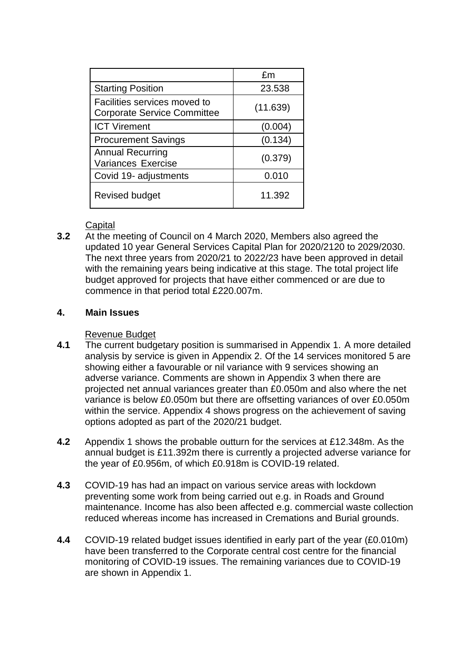|                                                                    | fm       |
|--------------------------------------------------------------------|----------|
| <b>Starting Position</b>                                           | 23.538   |
| Facilities services moved to<br><b>Corporate Service Committee</b> | (11.639) |
| <b>ICT Virement</b>                                                | (0.004)  |
| <b>Procurement Savings</b>                                         | (0.134)  |
| <b>Annual Recurring</b><br><b>Variances Exercise</b>               | (0.379)  |
| Covid 19- adjustments                                              | 0.010    |
| <b>Revised budget</b>                                              | 11.392   |

**Capital** 

**3.2** At the meeting of Council on 4 March 2020, Members also agreed the updated 10 year General Services Capital Plan for 2020/2120 to 2029/2030. The next three years from 2020/21 to 2022/23 have been approved in detail with the remaining years being indicative at this stage. The total project life budget approved for projects that have either commenced or are due to commence in that period total £220.007m.

# **4. Main Issues**

### Revenue Budget

- **4.1** The current budgetary position is summarised in Appendix 1. A more detailed analysis by service is given in Appendix 2. Of the 14 services monitored 5 are showing either a favourable or nil variance with 9 services showing an adverse variance. Comments are shown in Appendix 3 when there are projected net annual variances greater than £0.050m and also where the net variance is below £0.050m but there are offsetting variances of over £0.050m within the service. Appendix 4 shows progress on the achievement of saving options adopted as part of the 2020/21 budget.
- **4.2** Appendix 1 shows the probable outturn for the services at £12.348m. As the annual budget is £11.392m there is currently a projected adverse variance for the year of £0.956m, of which £0.918m is COVID-19 related.
- **4.3** COVID-19 has had an impact on various service areas with lockdown preventing some work from being carried out e.g. in Roads and Ground maintenance. Income has also been affected e.g. commercial waste collection reduced whereas income has increased in Cremations and Burial grounds.
- **4.4** COVID-19 related budget issues identified in early part of the year (£0.010m) have been transferred to the Corporate central cost centre for the financial monitoring of COVID-19 issues. The remaining variances due to COVID-19 are shown in Appendix 1.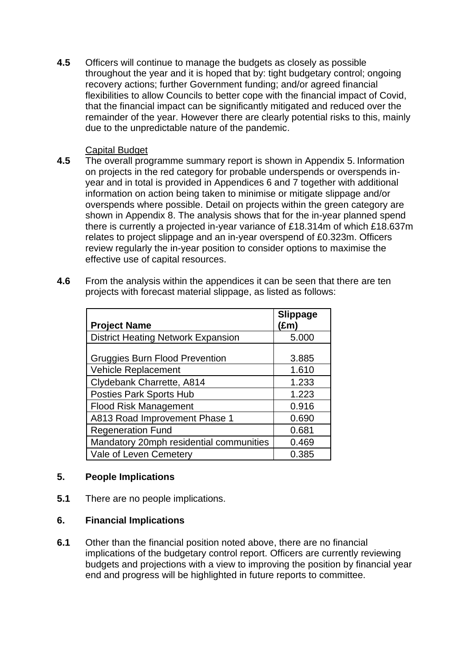**4.5** Officers will continue to manage the budgets as closely as possible throughout the year and it is hoped that by: tight budgetary control; ongoing recovery actions; further Government funding; and/or agreed financial flexibilities to allow Councils to better cope with the financial impact of Covid, that the financial impact can be significantly mitigated and reduced over the remainder of the year. However there are clearly potential risks to this, mainly due to the unpredictable nature of the pandemic.

## Capital Budget

- **4.5** The overall programme summary report is shown in Appendix 5. Information on projects in the red category for probable underspends or overspends inyear and in total is provided in Appendices 6 and 7 together with additional information on action being taken to minimise or mitigate slippage and/or overspends where possible. Detail on projects within the green category are shown in Appendix 8. The analysis shows that for the in-year planned spend there is currently a projected in-year variance of £18.314m of which £18.637m relates to project slippage and an in-year overspend of £0.323m. Officers review regularly the in-year position to consider options to maximise the effective use of capital resources.
- **4.6** From the analysis within the appendices it can be seen that there are ten projects with forecast material slippage, as listed as follows:

| <b>Project Name</b>                       | <b>Slippage</b><br>(£m` |
|-------------------------------------------|-------------------------|
| <b>District Heating Network Expansion</b> | 5.000                   |
| <b>Gruggies Burn Flood Prevention</b>     | 3.885                   |
| Vehicle Replacement                       | 1.610                   |
| Clydebank Charrette, A814                 | 1.233                   |
| <b>Posties Park Sports Hub</b>            | 1.223                   |
| <b>Flood Risk Management</b>              | 0.916                   |
| A813 Road Improvement Phase 1             | 0.690                   |
| <b>Regeneration Fund</b>                  | 0.681                   |
| Mandatory 20mph residential communities   | 0.469                   |
| Vale of Leven Cemetery                    | 0.385                   |

# **5. People Implications**

**5.1** There are no people implications.

#### **6. Financial Implications**

**6.1** Other than the financial position noted above, there are no financial implications of the budgetary control report. Officers are currently reviewing budgets and projections with a view to improving the position by financial year end and progress will be highlighted in future reports to committee.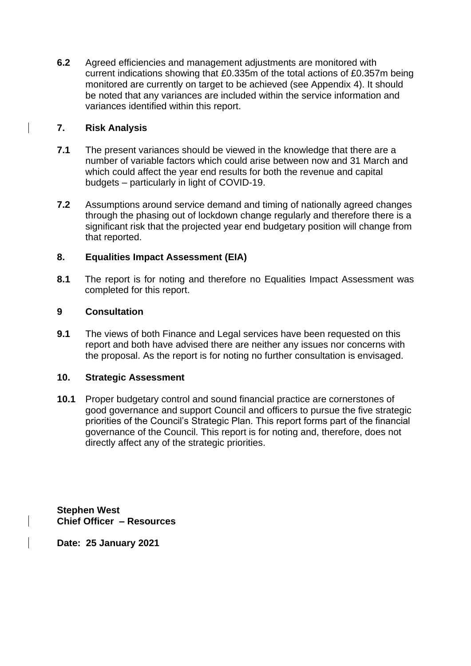**6.2** Agreed efficiencies and management adjustments are monitored with current indications showing that £0.335m of the total actions of £0.357m being monitored are currently on target to be achieved (see Appendix 4). It should be noted that any variances are included within the service information and variances identified within this report.

## **7. Risk Analysis**

- **7.1** The present variances should be viewed in the knowledge that there are a number of variable factors which could arise between now and 31 March and which could affect the year end results for both the revenue and capital budgets – particularly in light of COVID-19.
- **7.2** Assumptions around service demand and timing of nationally agreed changes through the phasing out of lockdown change regularly and therefore there is a significant risk that the projected year end budgetary position will change from that reported.

### **8. Equalities Impact Assessment (EIA)**

**8.1** The report is for noting and therefore no Equalities Impact Assessment was completed for this report.

#### **9 Consultation**

**9.1** The views of both Finance and Legal services have been requested on this report and both have advised there are neither any issues nor concerns with the proposal. As the report is for noting no further consultation is envisaged.

#### **10. Strategic Assessment**

**10.1** Proper budgetary control and sound financial practice are cornerstones of good governance and support Council and officers to pursue the five strategic priorities of the Council's Strategic Plan. This report forms part of the financial governance of the Council. This report is for noting and, therefore, does not directly affect any of the strategic priorities.

**Stephen West Chief Officer – Resources** 

**Date: 25 January 2021**